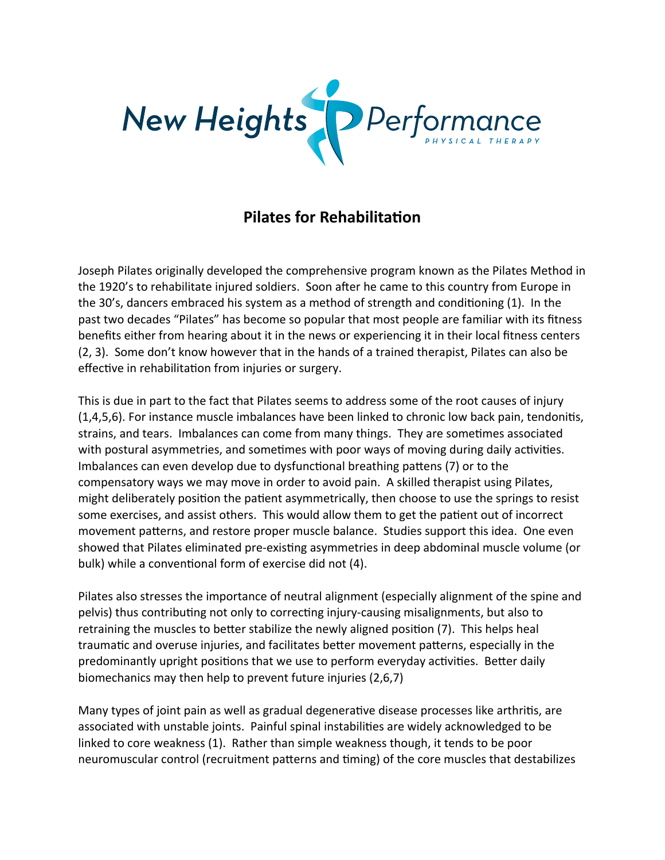

## **Pilates for Rehabilitation**

Joseph Pilates originally developed the comprehensive program known as the Pilates Method in the 1920's to rehabilitate injured soldiers. Soon after he came to this country from Europe in the 30's, dancers embraced his system as a method of strength and conditioning (1). In the past two decades "Pilates" has become so popular that most people are familiar with its fitness benefits either from hearing about it in the news or experiencing it in their local fitness centers (2, 3). Some don't know however that in the hands of a trained therapist, Pilates can also be effective in rehabilitation from injuries or surgery.

This is due in part to the fact that Pilates seems to address some of the root causes of injury  $(1,4,5,6)$ . For instance muscle imbalances have been linked to chronic low back pain, tendonitis, strains, and tears. Imbalances can come from many things. They are sometimes associated with postural asymmetries, and sometimes with poor ways of moving during daily activities. Imbalances can even develop due to dysfunctional breathing pattens (7) or to the compensatory ways we may move in order to avoid pain. A skilled therapist using Pilates, might deliberately position the patient asymmetrically, then choose to use the springs to resist some exercises, and assist others. This would allow them to get the patient out of incorrect movement patterns, and restore proper muscle balance. Studies support this idea. One even showed that Pilates eliminated pre-existing asymmetries in deep abdominal muscle volume (or bulk) while a conventional form of exercise did not (4).

Pilates also stresses the importance of neutral alignment (especially alignment of the spine and pelvis) thus contributing not only to correcting injury-causing misalignments, but also to retraining the muscles to better stabilize the newly aligned position (7). This helps heal traumatic and overuse injuries, and facilitates better movement patterns, especially in the predominantly upright positions that we use to perform everyday activities. Better daily biomechanics may then help to prevent future injuries (2,6,7)

Many types of joint pain as well as gradual degenerative disease processes like arthritis, are associated with unstable joints. Painful spinal instabilities are widely acknowledged to be linked to core weakness (1). Rather than simple weakness though, it tends to be poor neuromuscular control (recruitment patterns and timing) of the core muscles that destabilizes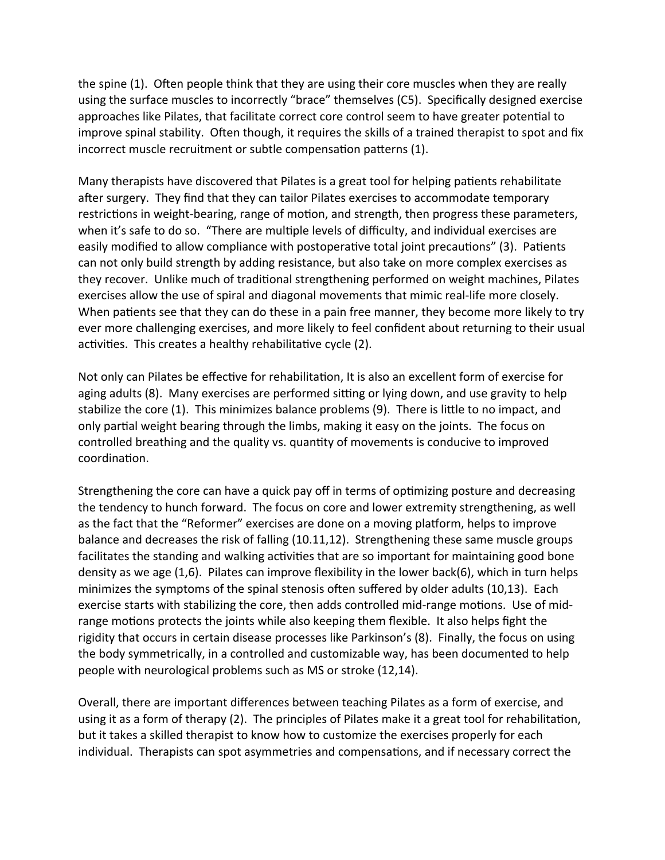the spine (1). Often people think that they are using their core muscles when they are really using the surface muscles to incorrectly "brace" themselves (C5). Specifically designed exercise approaches like Pilates, that facilitate correct core control seem to have greater potential to improve spinal stability. Often though, it requires the skills of a trained therapist to spot and fix incorrect muscle recruitment or subtle compensation patterns (1).

Many therapists have discovered that Pilates is a great tool for helping patients rehabilitate after surgery. They find that they can tailor Pilates exercises to accommodate temporary restrictions in weight-bearing, range of motion, and strength, then progress these parameters, when it's safe to do so. "There are multiple levels of difficulty, and individual exercises are easily modified to allow compliance with postoperative total joint precautions" (3). Patients can not only build strength by adding resistance, but also take on more complex exercises as they recover. Unlike much of traditional strengthening performed on weight machines, Pilates exercises allow the use of spiral and diagonal movements that mimic real-life more closely. When patients see that they can do these in a pain free manner, they become more likely to try ever more challenging exercises, and more likely to feel confident about returning to their usual activities. This creates a healthy rehabilitative cycle (2).

Not only can Pilates be effective for rehabilitation, It is also an excellent form of exercise for aging adults (8). Many exercises are performed sitting or lying down, and use gravity to help stabilize the core (1). This minimizes balance problems (9). There is little to no impact, and only partial weight bearing through the limbs, making it easy on the joints. The focus on controlled breathing and the quality vs. quantity of movements is conducive to improved coordination.

Strengthening the core can have a quick pay off in terms of optimizing posture and decreasing the tendency to hunch forward. The focus on core and lower extremity strengthening, as well as the fact that the "Reformer" exercises are done on a moving platform, helps to improve balance and decreases the risk of falling (10.11,12). Strengthening these same muscle groups facilitates the standing and walking activities that are so important for maintaining good bone density as we age (1,6). Pilates can improve flexibility in the lower back(6), which in turn helps minimizes the symptoms of the spinal stenosis often suffered by older adults (10,13). Each exercise starts with stabilizing the core, then adds controlled mid-range motions. Use of midrange motions protects the joints while also keeping them flexible. It also helps fight the rigidity that occurs in certain disease processes like Parkinson's (8). Finally, the focus on using the body symmetrically, in a controlled and customizable way, has been documented to help people with neurological problems such as MS or stroke (12,14).

Overall, there are important differences between teaching Pilates as a form of exercise, and using it as a form of therapy (2). The principles of Pilates make it a great tool for rehabilitation, but it takes a skilled therapist to know how to customize the exercises properly for each individual. Therapists can spot asymmetries and compensations, and if necessary correct the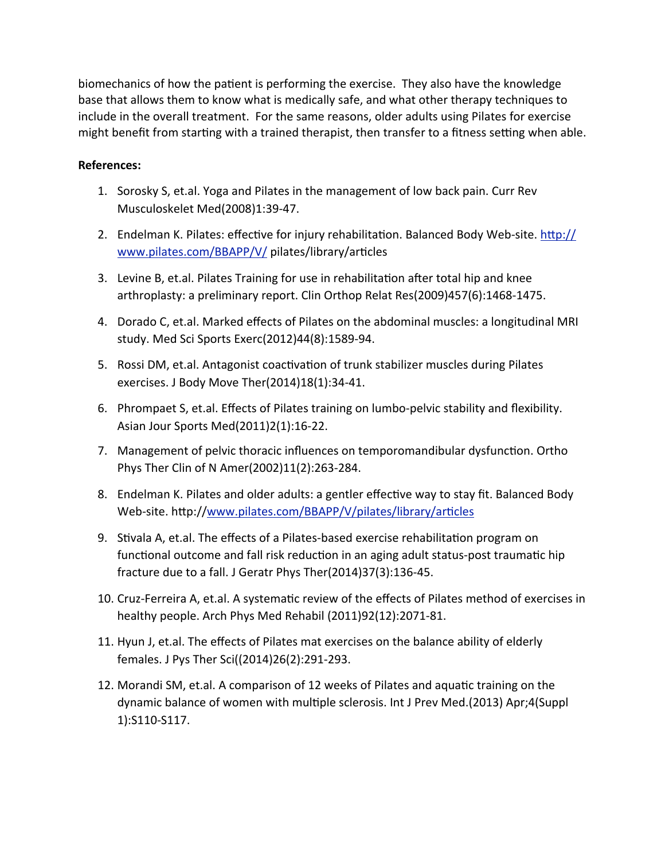biomechanics of how the patient is performing the exercise. They also have the knowledge base that allows them to know what is medically safe, and what other therapy techniques to include in the overall treatment. For the same reasons, older adults using Pilates for exercise might benefit from starting with a trained therapist, then transfer to a fitness setting when able.

## **References:**

- 1. Sorosky S, et.al. Yoga and Pilates in the management of low back pain. Curr Rev Musculoskelet Med(2008)1:39-47.
- 2. Endelman K. Pilates: effective for injury rehabilitation. Balanced Body Web-site. http:// [www.pilates.com/BBAPP/V/](http://www.pilates.com/BBAPP/V/) pilates/library/articles
- 3. Levine B, et.al. Pilates Training for use in rehabilitation after total hip and knee arthroplasty: a preliminary report. Clin Orthop Relat Res(2009)457(6):1468-1475.
- 4. Dorado C, et.al. Marked effects of Pilates on the abdominal muscles: a longitudinal MRI study. Med Sci Sports Exerc(2012)44(8):1589-94.
- 5. Rossi DM, et.al. Antagonist coactivation of trunk stabilizer muscles during Pilates exercises. J Body Move Ther(2014)18(1):34-41.
- 6. Phrompaet S, et.al. Effects of Pilates training on lumbo-pelvic stability and flexibility. Asian Jour Sports Med(2011)2(1):16-22.
- 7. Management of pelvic thoracic influences on temporomandibular dysfunction. Ortho Phys Ther Clin of N Amer(2002)11(2):263-284.
- 8. Endelman K. Pilates and older adults: a gentler effective way to stay fit. Balanced Body Web-site.http://www.pilates.com/BBAPP/V/pilates/library/articles
- 9. Stivala A, et.al. The effects of a Pilates-based exercise rehabilitation program on functional outcome and fall risk reduction in an aging adult status-post traumatic hip fracture due to a fall. J Geratr Phys Ther(2014)37(3):136-45.
- 10. Cruz-Ferreira A, et.al. A systematic review of the effects of Pilates method of exercises in healthy people. Arch Phys Med Rehabil (2011)92(12):2071-81.
- 11. Hyun J, et.al. The effects of Pilates mat exercises on the balance ability of elderly females. J Pys Ther Sci((2014)26(2):291-293.
- 12. Morandi SM, et.al. A comparison of 12 weeks of Pilates and aquatic training on the dynamic balance of women with multiple sclerosis. Int J Prev Med.(2013) Apr;4(Suppl 1):S110-S117.